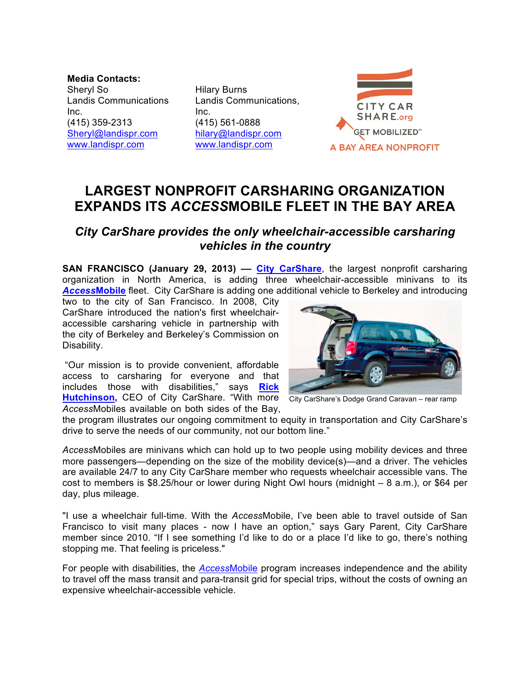**Media Contacts:** Sheryl So Landis Communications Inc. (415) 359-2313 Sheryl@landispr.com www.landispr.com

Hilary Burns Landis Communications, Inc. (415) 561-0888 hilary@landispr.com www.landispr.com



## **LARGEST NONPROFIT CARSHARING ORGANIZATION EXPANDS ITS** *ACCESS***MOBILE FLEET IN THE BAY AREA**

## *City CarShare provides the only wheelchair-accessible carsharing vehicles in the country*

**SAN FRANCISCO (January 29, 2013) –– City CarShare**, the largest nonprofit carsharing organization in North America, is adding three wheelchair-accessible minivans to its *Access***Mobile** fleet. City CarShare is adding one additional vehicle to Berkeley and introducing

two to the city of San Francisco. In 2008, City CarShare introduced the nation's first wheelchairaccessible carsharing vehicle in partnership with the city of Berkeley and Berkeley's Commission on Disability.

"Our mission is to provide convenient, affordable access to carsharing for everyone and that includes those with disabilities," says **Rick**  Hutchinson, CEO of City CarShare. "With more City CarShare's Dodge Grand Caravan – rear ramp *Access*Mobiles available on both sides of the Bay,



the program illustrates our ongoing commitment to equity in transportation and City CarShare's drive to serve the needs of our community, not our bottom line."

*Access*Mobiles are minivans which can hold up to two people using mobility devices and three more passengers—depending on the size of the mobility device(s)—and a driver. The vehicles are available 24/7 to any City CarShare member who requests wheelchair accessible vans. The cost to members is \$8.25/hour or lower during Night Owl hours (midnight – 8 a.m.), or \$64 per day, plus mileage.

"I use a wheelchair full-time. With the *Access*Mobile, I've been able to travel outside of San Francisco to visit many places - now I have an option," says Gary Parent, City CarShare member since 2010. "If I see something I'd like to do or a place I'd like to go, there's nothing stopping me. That feeling is priceless."

For people with disabilities, the *Access*Mobile program increases independence and the ability to travel off the mass transit and para-transit grid for special trips, without the costs of owning an expensive wheelchair-accessible vehicle.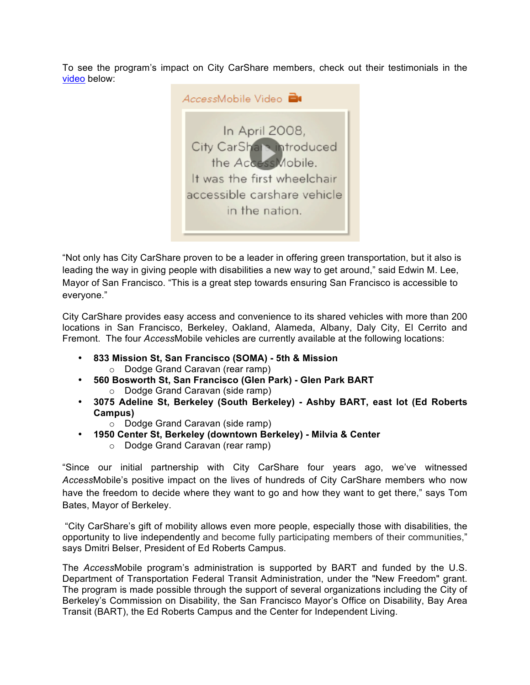To see the program's impact on City CarShare members, check out their testimonials in the video below:



"Not only has City CarShare proven to be a leader in offering green transportation, but it also is leading the way in giving people with disabilities a new way to get around," said Edwin M. Lee, Mayor of San Francisco. "This is a great step towards ensuring San Francisco is accessible to everyone."

City CarShare provides easy access and convenience to its shared vehicles with more than 200 locations in San Francisco, Berkeley, Oakland, Alameda, Albany, Daly City, El Cerrito and Fremont. The four *Access*Mobile vehicles are currently available at the following locations:

- **833 Mission St, San Francisco (SOMA) 5th & Mission**  o Dodge Grand Caravan (rear ramp)
- **560 Bosworth St, San Francisco (Glen Park) Glen Park BART** 
	- o Dodge Grand Caravan (side ramp)
- **3075 Adeline St, Berkeley (South Berkeley) - Ashby BART, east lot (Ed Roberts Campus)**
	- o Dodge Grand Caravan (side ramp)
- **1950 Center St, Berkeley (downtown Berkeley) Milvia & Center** 
	- o Dodge Grand Caravan (rear ramp)

"Since our initial partnership with City CarShare four years ago, we've witnessed *Access*Mobile's positive impact on the lives of hundreds of City CarShare members who now have the freedom to decide where they want to go and how they want to get there," says Tom Bates, Mayor of Berkeley.

"City CarShare's gift of mobility allows even more people, especially those with disabilities, the opportunity to live independently and become fully participating members of their communities," says Dmitri Belser, President of Ed Roberts Campus.

The *Access*Mobile program's administration is supported by BART and funded by the U.S. Department of Transportation Federal Transit Administration, under the "New Freedom" grant. The program is made possible through the support of several organizations including the City of Berkeley's Commission on Disability, the San Francisco Mayor's Office on Disability, Bay Area Transit (BART), the Ed Roberts Campus and the Center for Independent Living.